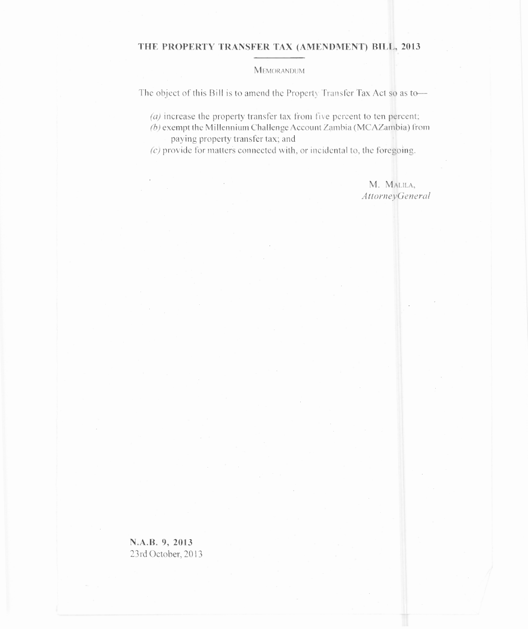## **THE PROPERTY TRANSFER TAX (AMENDMENT) BILL,** 2013

**MEMORANDUM** 

The object of this Bill is to amend the Property Transfer Tax Act so as to

 $\alpha$  increase the property transfer tax from five percent to ten percent;

 $(b)$  exempt the Millennium Challenge Account Zambia (MCAZambia) from paying property transfer tax; and

*(c)* provide for matters connected with, or incidental to, the foregoing.

M. MALILA, *AttorneyGeneral*

**N.A.B. 9, 2013** 23rd October, 2013